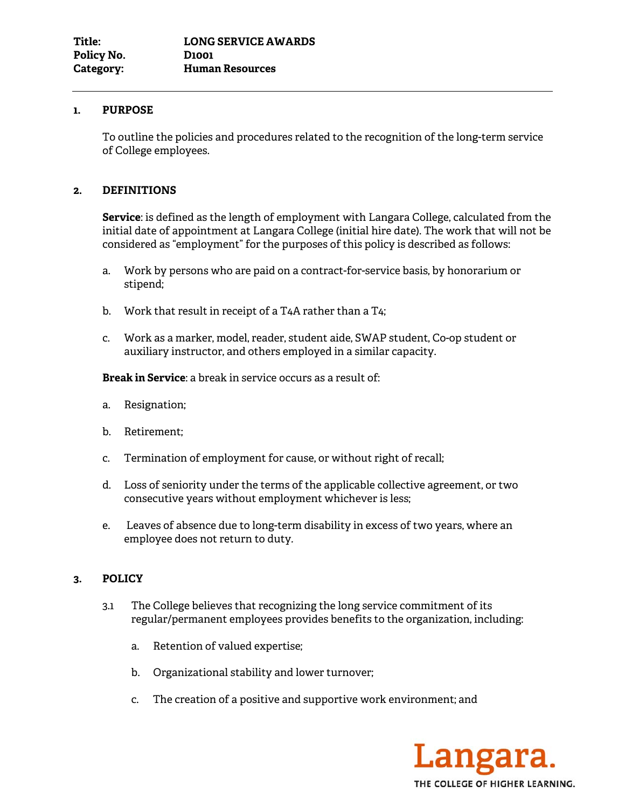## **1. PURPOSE**

To outline the policies and procedures related to the recognition of the long-term service of College employees.

## **2. DEFINITIONS**

**Service**: is defined as the length of employment with Langara College, calculated from the initial date of appointment at Langara College (initial hire date). The work that will not be considered as "employment" for the purposes of this policy is described as follows:

- a. Work by persons who are paid on a contract-for-service basis, by honorarium or stipend;
- b. Work that result in receipt of a T4A rather than a T4;
- c. Work as a marker, model, reader, student aide, SWAP student, Co-op student or auxiliary instructor, and others employed in a similar capacity.

**Break in Service**: a break in service occurs as a result of:

- a. Resignation;
- b. Retirement;
- c. Termination of employment for cause, or without right of recall;
- d. Loss of seniority under the terms of the applicable collective agreement, or two consecutive years without employment whichever is less;
- e. Leaves of absence due to long-term disability in excess of two years, where an employee does not return to duty*.*

## **3. POLICY**

- 3.1 The College believes that recognizing the long service commitment of its regular/permanent employees provides benefits to the organization, including:
	- a. Retention of valued expertise;
	- b. Organizational stability and lower turnover;
	- c. The creation of a positive and supportive work environment; and